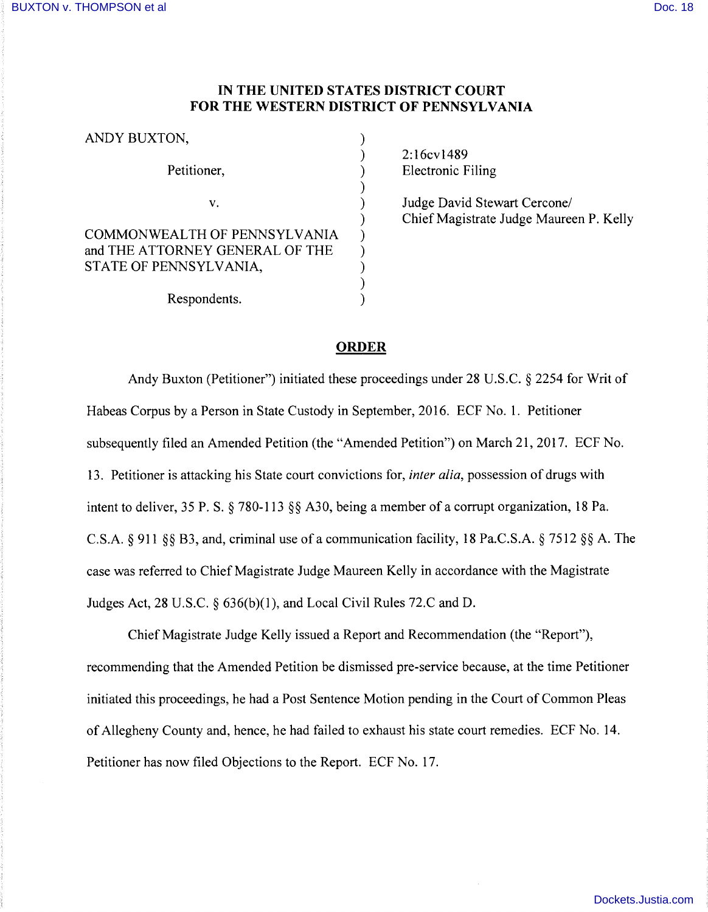## **IN THE UNITED STATES DISTRICT COURT FOR THE WESTERN DISTRICT OF PENNSYLVANIA**

)

)

)

)

ANDY BUXTON,

Petitioner, (1988)

 $\mathsf{v.} \hspace{2em}$ 

COMMONWEALTH OF PENNSYLVANIA ) and THE ATTORNEY GENERAL OF THE  $\qquad$  ) STATE OF PENNSYLVANIA,  $($ 

Respondents.

2:16cv1489 Electronic Filing

Judge David Stewart Cercone/ Chief Magistrate Judge Maureen P. Kelly

## **ORDER**

Andy Buxton (Petitioner") initiated these proceedings under 28 U.S.C. § 2254 for Writ of Habeas Corpus by a Person in State Custody in September, 2016. ECF No. 1. Petitioner subsequently filed an Amended Petition (the "Amended Petition") on March 21, 2017. ECF No. 13. Petitioner is attacking his State court convictions for, *inter alia,* possession of drugs with intent to deliver, 35 P. S. § 780-113 §§ A30, being a member of a corrupt organization, 18 Pa. C.S.A.  $\S$  911  $\S$ § B3, and, criminal use of a communication facility, 18 Pa.C.S.A.  $\S$  7512  $\S$ § A. The case was referred to Chief Magistrate Judge Maureen Kelly in accordance with the Magistrate Judges Act, 28 U.S.C. § 636(b)(l), and Local Civil Rules 72.C and D.

Chief Magistrate Judge Kelly issued a Report and Recommendation (the "Report"), recommending that the Amended Petition be dismissed pre-service because, at the time Petitioner initiated this proceedings, he had a Post Sentence Motion pending in the Court of Common Pleas of Allegheny County and, hence, he had failed to exhaust his state court remedies. ECF No. 14. Petitioner has now filed Objections to the Report. ECF No. 17.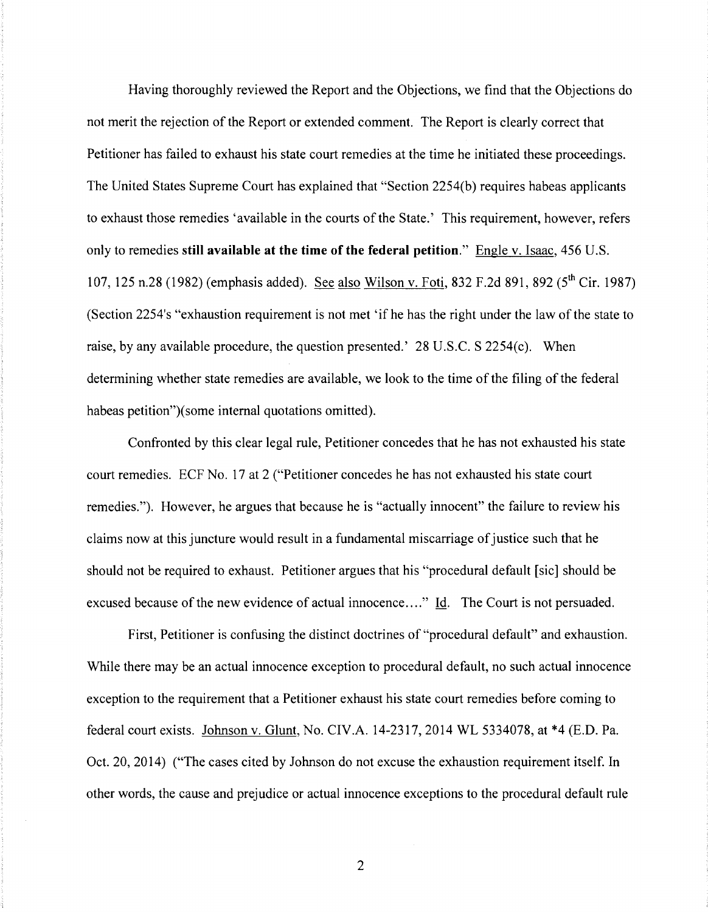Having thoroughly reviewed the Report and the Objections, we find that the Objections do not merit the rejection of the Report or extended comment. The Report is clearly correct that Petitioner has failed to exhaust his state court remedies at the time he initiated these proceedings. The United States Supreme Court has explained that "Section 2254(b) requires habeas applicants to exhaust those remedies 'available in the courts of the State.' This requirement, however, refers only to remedies **still available at the time of the federal petition."** Engle v. Isaac, 456 U.S. 107, 125 n.28 (1982) (emphasis added). See also Wilson v. Foti, 832 F.2d 891, 892 (5<sup>th</sup> Cir. 1987) (Section 2254's "exhaustion requirement is not met 'if he has the right under the law of the state to raise, by any available procedure, the question presented.' 28 U.S.C. S 2254(c). When determining whether state remedies are available, we look to the time of the filing of the federal habeas petition")(some internal quotations omitted).

Confronted by this clear legal rule, Petitioner concedes that he has not exhausted his state court remedies. ECF No. 17 at 2 ("Petitioner concedes he has not exhausted his state court remedies."). However, he argues that because he is "actually innocent" the failure to review his claims now at this juncture would result in a fundamental miscarriage of justice such that he should not be required to exhaust. Petitioner argues that his "procedural default [sic] should be excused because of the new evidence of actual innocence...." Id. The Court is not persuaded.

First, Petitioner is confusing the distinct doctrines of "procedural default" and exhaustion. While there may be an actual innocence exception to procedural default, no such actual innocence exception to the requirement that a Petitioner exhaust his state court remedies before coming to federal court exists. Johnson v. Glunt, No. CIV.A. 14-2317, 2014 WL 5334078, at \*4 (E.D. Pa. Oct. 20, 2014) ("The cases cited by Johnson do not excuse the exhaustion requirement itself. In other words, the cause and prejudice or actual innocence exceptions to the procedural default rule

2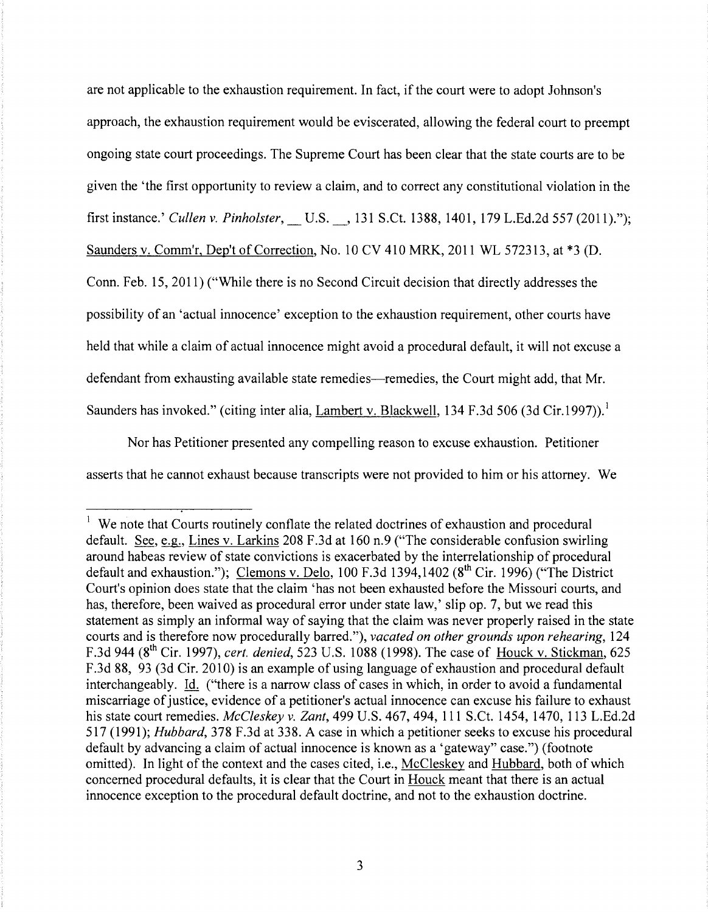are not applicable to the exhaustion requirement. In fact, if the court were to adopt Johnson's approach, the exhaustion requirement would be eviscerated, allowing the federal court to preempt ongoing state court proceedings. The Supreme Court has been clear that the state courts are to be given the 'the first opportunity to review a claim, and to correct any constitutional violation in the first instance.' *Cullen v. Pinholster,* \_U.S.\_, 131 S.Ct. 1388, 1401, 179 L.Ed.2d 557 (2011)."); Saunders v. Comm'r, Dep't of Correction, No. 10 CV 410 MRK, 2011 WL 572313, at \*3 (D. Conn. Feb. 15, 2011) ("While there is no Second Circuit decision that directly addresses the

possibility of an 'actual innocence' exception to the exhaustion requirement, other courts have held that while a claim of actual innocence might avoid a procedural default, it will not excuse a defendant from exhausting available state remedies—remedies, the Court might add, that Mr. Saunders has invoked." (citing inter alia, Lambert v. Blackwell, 134 F.3d 506 (3d Cir.1997)).<sup>1</sup>

Nor has Petitioner presented any compelling reason to excuse exhaustion. Petitioner asserts that he cannot exhaust because transcripts were not provided to him or his attorney. We

We note that Courts routinely conflate the related doctrines of exhaustion and procedural default. See, e.g., Lines v. Larkins 208 F.3d at 160 n.9 ("The considerable confusion swirling around habeas review of state convictions is exacerbated by the interrelationship of procedural default and exhaustion."); Clemons v. Delo, 100 F.3d 1394,1402 ( $8<sup>th</sup> Cir.$  1996) ("The District Court's opinion does state that the claim 'has not been exhausted before the Missouri courts, and has, therefore, been waived as procedural error under state law,' slip op. 7, but we read this statement as simply an informal way of saying that the claim was never properly raised in the state courts and is therefore now procedurally barred."), *vacated on other grounds upon rehearing,* 124 F.3d 944 (8th Cir. 1997), *cert. denied,* 523 U.S. 1088 (1998). The case of Houck v. Stickman, 625 F .3d 88, 93 (3d Cir. 2010) is an example of using language of exhaustion and procedural default interchangeably. Id. ("there is a narrow class of cases in which, in order to avoid a fundamental miscarriage of justice, evidence of a petitioner's actual innocence can excuse his failure to exhaust his state court remedies. *McCleskey v. Zant,* 499 U.S. 467, 494, 111 S.Ct. 1454, 1470, 113 L.Ed.2d 517 (1991); *Hubbard,* 378 F.3d at 338. A case in which a petitioner seeks to excuse his procedural default by advancing a claim of actual innocence is known as a 'gateway" case.") (footnote omitted). In light of the context and the cases cited, i.e., McCleskey and Hubbard, both of which concerned procedural defaults, it is clear that the Court in Houck meant that there is an actual innocence exception to the procedural default doctrine, and not to the exhaustion doctrine.